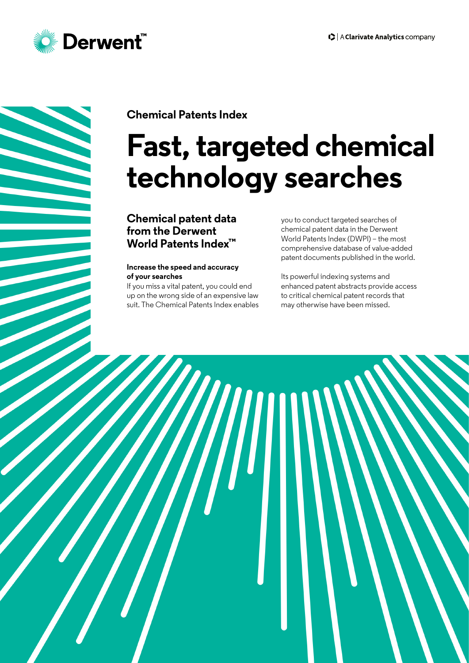

# **Chemical Patents Index**

# **Fast, targeted chemical technology searches**

## **Chemical patent data from the Derwent World Patents Index™**

#### **Increase the speed and accuracy of your searches**

If you miss a vital patent, you could end up on the wrong side of an expensive law suit. The Chemical Patents Index enables you to conduct targeted searches of chemical patent data in the Derwent World Patents Index (DWPI) – the most comprehensive database of value-added patent documents published in the world.

Its powerful indexing systems and enhanced patent abstracts provide access to critical chemical patent records that may otherwise have been missed.

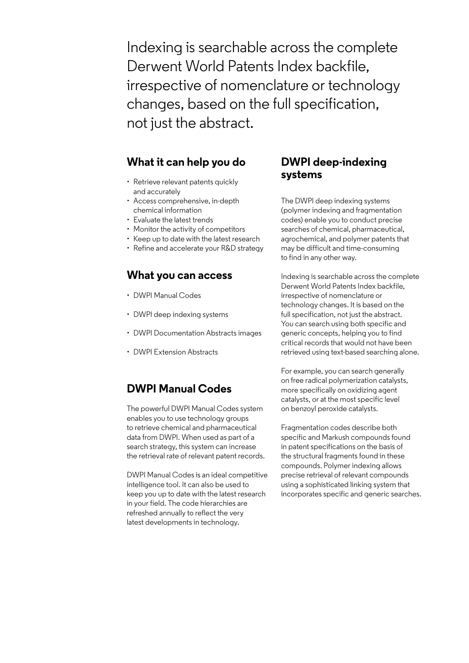Indexing is searchable across the complete Derwent World Patents Index backfile, irrespective of nomenclature or technology changes, based on the full specification, not just the abstract.

## **What it can help you do**

- Retrieve relevant patents quickly and accurately
- Access comprehensive, in-depth chemical information
- Evaluate the latest trends
- Monitor the activity of competitors
- Keep up to date with the latest research
- Refine and accelerate your R&D strategy

## **What you can access**

- DWPI Manual Codes
- DWPI deep indexing systems
- DWPI Documentation Abstracts images
- DWPI Extension Abstracts

## **DWPI Manual Codes**

The powerful DWPI Manual Codes system enables you to use technology groups to retrieve chemical and pharmaceutical data from DWPI. When used as part of a search strategy, this system can increase the retrieval rate of relevant patent records.

DWPI Manual Codes is an ideal competitive intelligence tool. It can also be used to keep you up to date with the latest research in your field. The code hierarchies are refreshed annually to reflect the very latest developments in technology.

## **DWPI deep-indexing systems**

The DWPI deep indexing systems (polymer indexing and fragmentation codes) enable you to conduct precise searches of chemical, pharmaceutical, agrochemical, and polymer patents that may be difficult and time-consuming to find in any other way.

Indexing is searchable across the complete Derwent World Patents Index backfile, irrespective of nomenclature or technology changes. It is based on the full specification, not just the abstract. You can search using both specific and generic concepts, helping you to find critical records that would not have been retrieved using text-based searching alone.

For example, you can search generally on free radical polymerization catalysts, more specifically on oxidizing agent catalysts, or at the most specific level on benzoyl peroxide catalysts.

Fragmentation codes describe both specific and Markush compounds found in patent specifications on the basis of the structural fragments found in these compounds. Polymer indexing allows precise retrieval of relevant compounds using a sophisticated linking system that incorporates specific and generic searches.